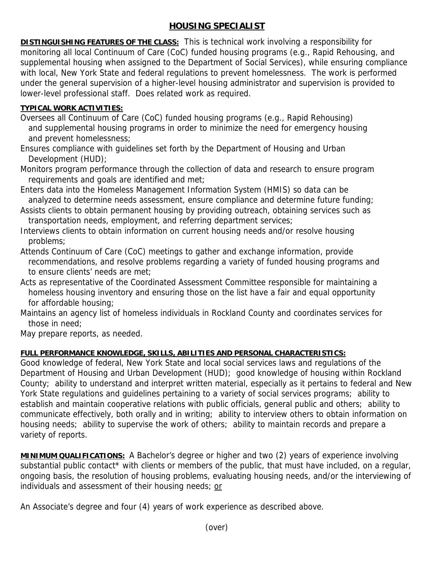## **HOUSING SPECIALIST**

**DISTINGUISHING FEATURES OF THE CLASS:** This is technical work involving a responsibility for monitoring all local Continuum of Care (CoC) funded housing programs (e.g., Rapid Rehousing, and supplemental housing when assigned to the Department of Social Services), while ensuring compliance with local, New York State and federal regulations to prevent homelessness. The work is performed under the general supervision of a higher-level housing administrator and supervision is provided to lower-level professional staff. Does related work as required.

## **TYPICAL WORK ACTIVITIES:**

Oversees all Continuum of Care (CoC) funded housing programs (e.g., Rapid Rehousing) and supplemental housing programs in order to minimize the need for emergency housing and prevent homelessness;

Ensures compliance with guidelines set forth by the Department of Housing and Urban Development (HUD);

Monitors program performance through the collection of data and research to ensure program requirements and goals are identified and met;

Enters data into the Homeless Management Information System (HMIS) so data can be analyzed to determine needs assessment, ensure compliance and determine future funding;

Assists clients to obtain permanent housing by providing outreach, obtaining services such as transportation needs, employment, and referring department services;

Interviews clients to obtain information on current housing needs and/or resolve housing problems;

Attends Continuum of Care (CoC) meetings to gather and exchange information, provide recommendations, and resolve problems regarding a variety of funded housing programs and to ensure clients' needs are met;

Acts as representative of the Coordinated Assessment Committee responsible for maintaining a homeless housing inventory and ensuring those on the list have a fair and equal opportunity for affordable housing;

Maintains an agency list of homeless individuals in Rockland County and coordinates services for those in need;

May prepare reports, as needed.

## **FULL PERFORMANCE KNOWLEDGE, SKILLS, ABILITIES AND PERSONAL CHARACTERISTICS:**

Good knowledge of federal, New York State and local social services laws and regulations of the Department of Housing and Urban Development (HUD); good knowledge of housing within Rockland County; ability to understand and interpret written material, especially as it pertains to federal and New York State regulations and guidelines pertaining to a variety of social services programs; ability to establish and maintain cooperative relations with public officials, general public and others; ability to communicate effectively, both orally and in writing; ability to interview others to obtain information on housing needs; ability to supervise the work of others; ability to maintain records and prepare a variety of reports.

**MINIMUM QUALIFICATIONS:** A Bachelor's degree or higher and two (2) years of experience involving substantial public contact\* with clients or members of the public, that must have included, on a regular, ongoing basis, the resolution of housing problems, evaluating housing needs, and/or the interviewing of individuals and assessment of their housing needs; or

An Associate's degree and four (4) years of work experience as described above.